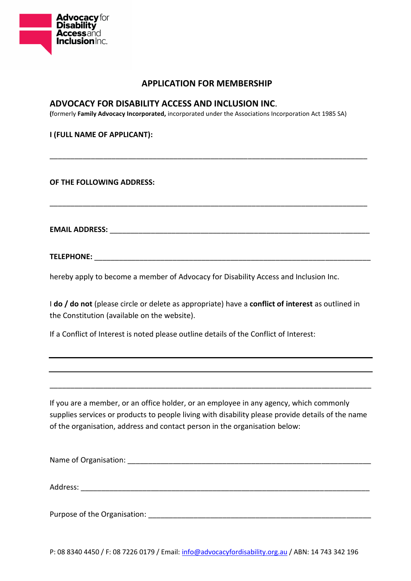

## **APPLICATION FOR MEMBERSHIP**

\_\_\_\_\_\_\_\_\_\_\_\_\_\_\_\_\_\_\_\_\_\_\_\_\_\_\_\_\_\_\_\_\_\_\_\_\_\_\_\_\_\_\_\_\_\_\_\_\_\_\_\_\_\_\_\_\_\_\_\_\_\_\_\_\_\_\_\_\_\_\_\_\_\_\_\_\_

\_\_\_\_\_\_\_\_\_\_\_\_\_\_\_\_\_\_\_\_\_\_\_\_\_\_\_\_\_\_\_\_\_\_\_\_\_\_\_\_\_\_\_\_\_\_\_\_\_\_\_\_\_\_\_\_\_\_\_\_\_\_\_\_\_\_\_\_\_\_\_\_\_\_\_\_\_

## **ADVOCACY FOR DISABILITY ACCESS AND INCLUSION INC**.

**(**formerly **Family Advocacy Incorporated,** incorporated under the Associations Incorporation Act 1985 SA)

**I (FULL NAME OF APPLICANT):**

**OF THE FOLLOWING ADDRESS:** 

 $E$ MAIL ADDRESS:

**TELEPHONE:** \_\_\_\_\_\_\_\_\_\_\_\_\_\_\_\_\_\_\_\_\_\_\_\_\_\_\_\_\_\_\_\_\_\_\_\_\_\_\_\_\_\_\_\_\_\_\_\_\_\_\_\_\_\_\_\_\_\_\_\_\_\_\_\_\_\_\_

hereby apply to become a member of Advocacy for Disability Access and Inclusion Inc.

I **do / do not** (please circle or delete as appropriate) have a **conflict of interest** as outlined in the Constitution (available on the website).

If a Conflict of Interest is noted please outline details of the Conflict of Interest:

If you are a member, or an office holder, or an employee in any agency, which commonly supplies services or products to people living with disability please provide details of the name of the organisation, address and contact person in the organisation below:

\_\_\_\_\_\_\_\_\_\_\_\_\_\_\_\_\_\_\_\_\_\_\_\_\_\_\_\_\_\_\_\_\_\_\_\_\_\_\_\_\_\_\_\_\_\_\_\_\_\_\_\_\_\_\_\_\_\_\_\_\_\_\_\_\_\_\_\_\_\_\_\_\_\_\_\_\_\_

Name of Organisation: \_\_\_\_\_\_\_\_\_\_\_\_\_\_\_\_\_\_\_\_\_\_\_\_\_\_\_\_\_\_\_\_\_\_\_\_\_\_\_\_\_\_\_\_\_\_\_\_\_\_\_\_\_\_\_\_\_\_\_

Address: \_\_\_\_\_\_\_\_\_\_\_\_\_\_\_\_\_\_\_\_\_\_\_\_\_\_\_\_\_\_\_\_\_\_\_\_\_\_\_\_\_\_\_\_\_\_\_\_\_\_\_\_\_\_\_\_\_\_\_\_\_\_\_\_\_\_\_\_\_\_

Purpose of the Organisation: **Example 2018**